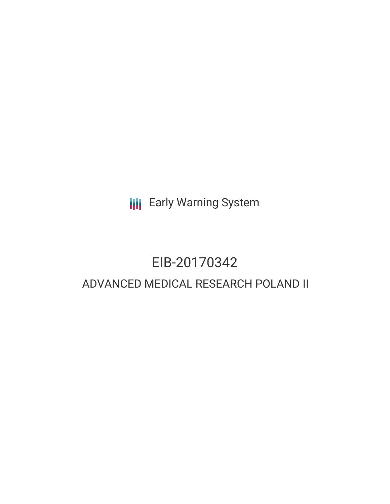**III** Early Warning System

# EIB-20170342 ADVANCED MEDICAL RESEARCH POLAND II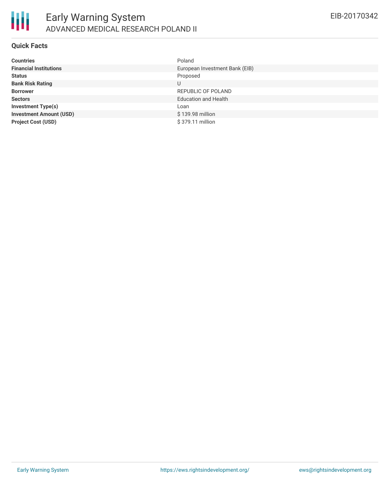

#### **Quick Facts**

| <b>Countries</b>               | Poland                         |
|--------------------------------|--------------------------------|
| <b>Financial Institutions</b>  | European Investment Bank (EIB) |
| <b>Status</b>                  | Proposed                       |
| <b>Bank Risk Rating</b>        | U                              |
| <b>Borrower</b>                | REPUBLIC OF POLAND             |
| <b>Sectors</b>                 | <b>Education and Health</b>    |
| <b>Investment Type(s)</b>      | Loan                           |
| <b>Investment Amount (USD)</b> | \$139.98 million               |
| <b>Project Cost (USD)</b>      | \$379.11 million               |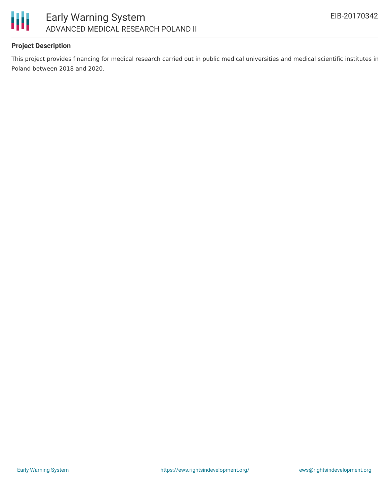

## **Project Description**

This project provides financing for medical research carried out in public medical universities and medical scientific institutes in Poland between 2018 and 2020.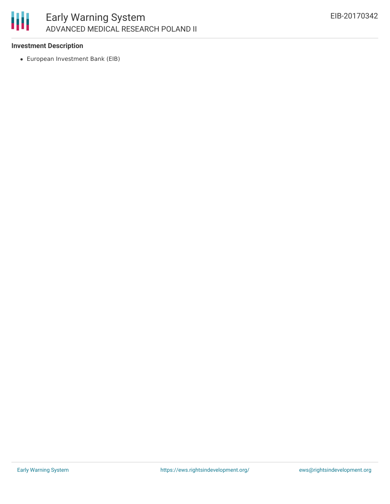

## **Investment Description**

European Investment Bank (EIB)